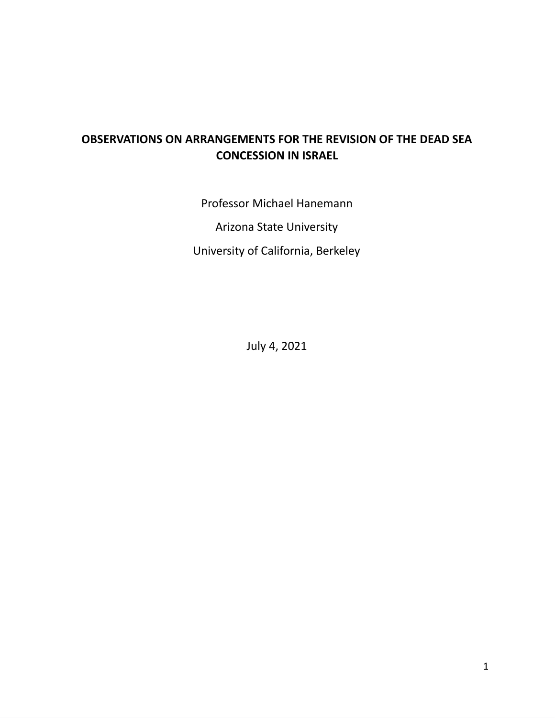# **OBSERVATIONS ON ARRANGEMENTS FOR THE REVISION OF THE DEAD SEA CONCESSION IN ISRAEL**

Professor Michael Hanemann Arizona State University University of California, Berkeley

July 4, 2021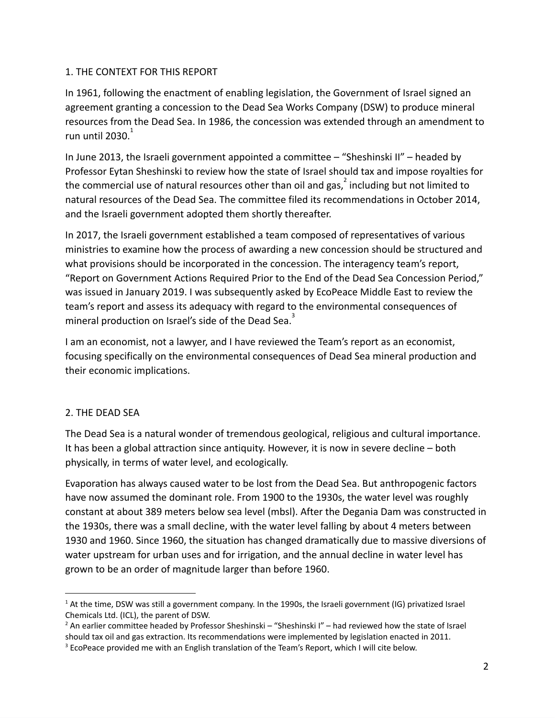#### 1. THE CONTEXT FOR THIS REPORT

In 1961, following the enactment of enabling legislation, the Government of Israel signed an agreement granting a concession to the Dead Sea Works Company (DSW) to produce mineral resources from the Dead Sea. In 1986, the concession was extended through an amendment to run until  $2030<sup>1</sup>$ 

In June 2013, the Israeli government appointed a committee – "Sheshinski II" – headed by Professor Eytan Sheshinski to review how the state of Israel should tax and impose royalties for the commercial use of natural resources other than oil and gas, $^2$  including but not limited to natural resources of the Dead Sea. The committee filed its recommendations in October 2014, and the Israeli government adopted them shortly thereafter.

In 2017, the Israeli government established a team composed of representatives of various ministries to examine how the process of awarding a new concession should be structured and what provisions should be incorporated in the concession. The interagency team's report, "Report on Government Actions Required Prior to the End of the Dead Sea Concession Period," was issued in January 2019. I was subsequently asked by EcoPeace Middle East to review the team's report and assess its adequacy with regard to the environmental consequences of mineral production on Israel's side of the Dead Sea.<sup>3</sup>

I am an economist, not a lawyer, and I have reviewed the Team's report as an economist, focusing specifically on the environmental consequences of Dead Sea mineral production and their economic implications.

# 2. THE DEAD SEA

The Dead Sea is a natural wonder of tremendous geological, religious and cultural importance. It has been a global attraction since antiquity. However, it is now in severe decline – both physically, in terms of water level, and ecologically.

Evaporation has always caused water to be lost from the Dead Sea. But anthropogenic factors have now assumed the dominant role. From 1900 to the 1930s, the water level was roughly constant at about 389 meters below sea level (mbsl). After the Degania Dam was constructed in the 1930s, there was a small decline, with the water level falling by about 4 meters between 1930 and 1960. Since 1960, the situation has changed dramatically due to massive diversions of water upstream for urban uses and for irrigation, and the annual decline in water level has grown to be an order of magnitude larger than before 1960.

 $1$  At the time, DSW was still a government company. In the 1990s, the Israeli government (IG) privatized Israel Chemicals Ltd. (ICL), the parent of DSW.

 $<sup>2</sup>$  An earlier committee headed by Professor Sheshinski – "Sheshinski I" – had reviewed how the state of Israel</sup> should tax oil and gas extraction. Its recommendations were implemented by legislation enacted in 2011.

<sup>&</sup>lt;sup>3</sup> EcoPeace provided me with an English translation of the Team's Report, which I will cite below.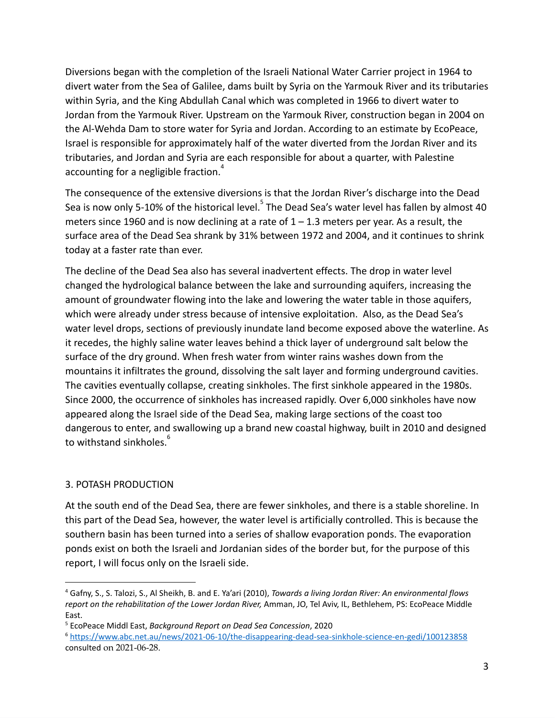Diversions began with the completion of the Israeli National Water Carrier project in 1964 to divert water from the Sea of Galilee, dams built by Syria on the Yarmouk River and its tributaries within Syria, and the King Abdullah Canal which was completed in 1966 to divert water to Jordan from the Yarmouk River. Upstream on the Yarmouk River, construction began in 2004 on the Al-Wehda Dam to store water for Syria and Jordan. According to an estimate by EcoPeace, Israel is responsible for approximately half of the water diverted from the Jordan River and its tributaries, and Jordan and Syria are each responsible for about a quarter, with Palestine accounting for a negligible fraction.<sup>4</sup>

The consequence of the extensive diversions is that the Jordan River's discharge into the Dead Sea is now only 5-10% of the historical level.<sup>5</sup> The Dead Sea's water level has fallen by almost 40 meters since 1960 and is now declining at a rate of  $1 - 1.3$  meters per year. As a result, the surface area of the Dead Sea shrank by 31% between 1972 and 2004, and it continues to shrink today at a faster rate than ever.

The decline of the Dead Sea also has several inadvertent effects. The drop in water level changed the hydrological balance between the lake and surrounding aquifers, increasing the amount of groundwater flowing into the lake and lowering the water table in those aquifers, which were already under stress because of intensive exploitation. Also, as the Dead Sea's water level drops, sections of previously inundate land become exposed above the waterline. As it recedes, the highly saline water leaves behind a thick layer of underground salt below the surface of the dry ground. When fresh water from winter rains washes down from the mountains it infiltrates the ground, dissolving the salt layer and forming underground cavities. The cavities eventually collapse, creating sinkholes. The first sinkhole appeared in the 1980s. Since 2000, the occurrence of sinkholes has increased rapidly. Over 6,000 sinkholes have now appeared along the Israel side of the Dead Sea, making large sections of the coast too dangerous to enter, and swallowing up a brand new coastal highway, built in 2010 and designed to withstand sinkholes.<sup>6</sup>

# 3. POTASH PRODUCTION

At the south end of the Dead Sea, there are fewer sinkholes, and there is a stable shoreline. In this part of the Dead Sea, however, the water level is artificially controlled. This is because the southern basin has been turned into a series of shallow evaporation ponds. The evaporation ponds exist on both the Israeli and Jordanian sides of the border but, for the purpose of this report, I will focus only on the Israeli side.

<sup>4</sup> Gafny, S., S. Talozi, S., Al Sheikh, B. and E. Ya'ari (2010), *Towards a living Jordan River: An environmental flows report on the rehabilitation of the Lower Jordan River,* Amman, JO, Tel Aviv, IL, Bethlehem, PS: EcoPeace Middle East.

<sup>5</sup> EcoPeace Middl East, *Background Report on Dead Sea Concession*, 2020

<sup>6</sup> <https://www.abc.net.au/news/2021-06-10/the-disappearing-dead-sea-sinkhole-science-en-gedi/100123858> consulted on 2021-06-28.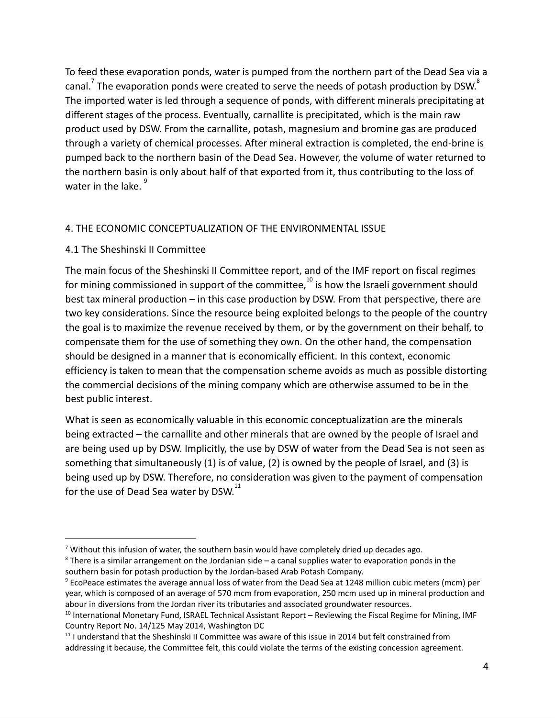To feed these evaporation ponds, water is pumped from the northern part of the Dead Sea via a canal.<sup>7</sup> The evaporation ponds were created to serve the needs of potash production by DSW.<sup>8</sup> The imported water is led through a sequence of ponds, with different minerals precipitating at different stages of the process. Eventually, carnallite is precipitated, which is the main raw product used by DSW. From the carnallite, potash, magnesium and bromine gas are produced through a variety of chemical processes. After mineral extraction is completed, the end-brine is pumped back to the northern basin of the Dead Sea. However, the volume of water returned to the northern basin is only about half of that exported from it, thus contributing to the loss of water in the lake.  $^9$ 

#### 4. THE ECONOMIC CONCEPTUALIZATION OF THE ENVIRONMENTAL ISSUE

#### 4.1 The Sheshinski II Committee

The main focus of the Sheshinski II Committee report, and of the IMF report on fiscal regimes for mining commissioned in support of the committee, $10$  is how the Israeli government should best tax mineral production – in this case production by DSW. From that perspective, there are two key considerations. Since the resource being exploited belongs to the people of the country the goal is to maximize the revenue received by them, or by the government on their behalf, to compensate them for the use of something they own. On the other hand, the compensation should be designed in a manner that is economically efficient. In this context, economic efficiency is taken to mean that the compensation scheme avoids as much as possible distorting the commercial decisions of the mining company which are otherwise assumed to be in the best public interest.

What is seen as economically valuable in this economic conceptualization are the minerals being extracted – the carnallite and other minerals that are owned by the people of Israel and are being used up by DSW. Implicitly, the use by DSW of water from the Dead Sea is not seen as something that simultaneously (1) is of value, (2) is owned by the people of Israel, and (3) is being used up by DSW. Therefore, no consideration was given to the payment of compensation for the use of Dead Sea water by DSW. $^{11}$ 

 $7$  Without this infusion of water, the southern basin would have completely dried up decades ago.

 $8$  There is a similar arrangement on the Jordanian side – a canal supplies water to evaporation ponds in the southern basin for potash production by the Jordan-based Arab Potash Company.

<sup>9</sup> EcoPeace estimates the average annual loss of water from the Dead Sea at 1248 million cubic meters (mcm) per year, which is composed of an average of 570 mcm from evaporation, 250 mcm used up in mineral production and abour in diversions from the Jordan river its tributaries and associated groundwater resources.

 $10$  International Monetary Fund, ISRAEL Technical Assistant Report – Reviewing the Fiscal Regime for Mining, IMF Country Report No. 14/125 May 2014, Washington DC

 $11$  I understand that the Sheshinski II Committee was aware of this issue in 2014 but felt constrained from addressing it because, the Committee felt, this could violate the terms of the existing concession agreement.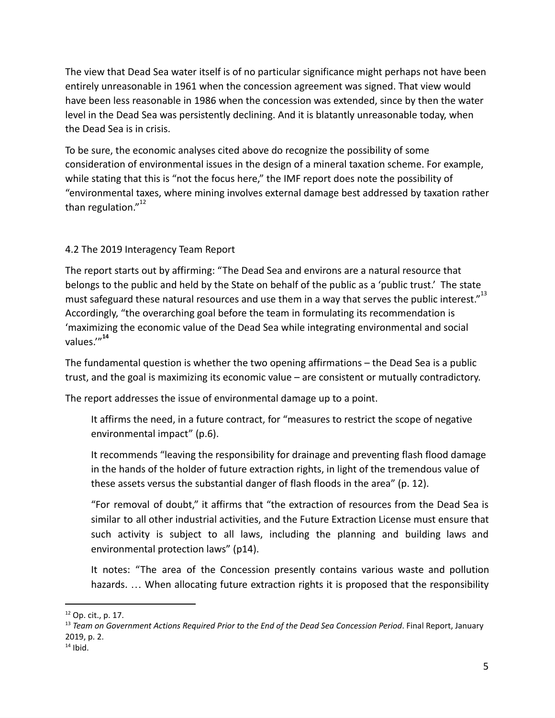The view that Dead Sea water itself is of no particular significance might perhaps not have been entirely unreasonable in 1961 when the concession agreement was signed. That view would have been less reasonable in 1986 when the concession was extended, since by then the water level in the Dead Sea was persistently declining. And it is blatantly unreasonable today, when the Dead Sea is in crisis.

To be sure, the economic analyses cited above do recognize the possibility of some consideration of environmental issues in the design of a mineral taxation scheme. For example, while stating that this is "not the focus here," the IMF report does note the possibility of "environmental taxes, where mining involves external damage best addressed by taxation rather than regulation."<sup>12</sup>

# 4.2 The 2019 Interagency Team Report

The report starts out by affirming: "The Dead Sea and environs are a natural resource that belongs to the public and held by the State on behalf of the public as a 'public trust.' The state must safeguard these natural resources and use them in a way that serves the public interest." $^{13}$ Accordingly, "the overarching goal before the team in formulating its recommendation is 'maximizing the economic value of the Dead Sea while integrating environmental and social values.'"**<sup>14</sup>**

The fundamental question is whether the two opening affirmations – the Dead Sea is a public trust, and the goal is maximizing its economic value – are consistent or mutually contradictory.

The report addresses the issue of environmental damage up to a point.

It affirms the need, in a future contract, for "measures to restrict the scope of negative environmental impact" (p.6).

It recommends "leaving the responsibility for drainage and preventing flash flood damage in the hands of the holder of future extraction rights, in light of the tremendous value of these assets versus the substantial danger of flash floods in the area" (p. 12).

"For removal of doubt," it affirms that "the extraction of resources from the Dead Sea is similar to all other industrial activities, and the Future Extraction License must ensure that such activity is subject to all laws, including the planning and building laws and environmental protection laws" (p14).

It notes: "The area of the Concession presently contains various waste and pollution hazards. ... When allocating future extraction rights it is proposed that the responsibility

<sup>12</sup> Op. cit., p. 17.

<sup>13</sup> *Team on Government Actions Required Prior to the End of the Dead Sea Concession Period*. Final Report, January 2019, p. 2.

 $14$  Ibid.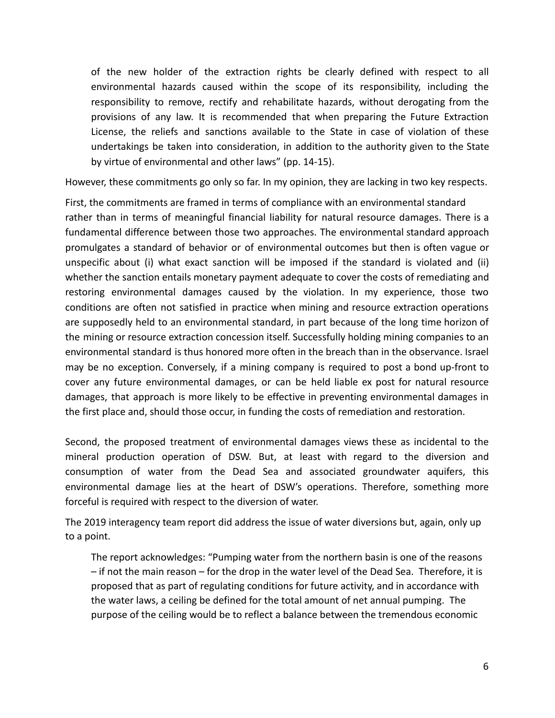of the new holder of the extraction rights be clearly defined with respect to all environmental hazards caused within the scope of its responsibility, including the responsibility to remove, rectify and rehabilitate hazards, without derogating from the provisions of any law. It is recommended that when preparing the Future Extraction License, the reliefs and sanctions available to the State in case of violation of these undertakings be taken into consideration, in addition to the authority given to the State by virtue of environmental and other laws" (pp. 14-15).

However, these commitments go only so far. In my opinion, they are lacking in two key respects.

First, the commitments are framed in terms of compliance with an environmental standard rather than in terms of meaningful financial liability for natural resource damages. There is a fundamental difference between those two approaches. The environmental standard approach promulgates a standard of behavior or of environmental outcomes but then is often vague or unspecific about (i) what exact sanction will be imposed if the standard is violated and (ii) whether the sanction entails monetary payment adequate to cover the costs of remediating and restoring environmental damages caused by the violation. In my experience, those two conditions are often not satisfied in practice when mining and resource extraction operations are supposedly held to an environmental standard, in part because of the long time horizon of the mining or resource extraction concession itself. Successfully holding mining companies to an environmental standard is thus honored more often in the breach than in the observance. Israel may be no exception. Conversely, if a mining company is required to post a bond up-front to cover any future environmental damages, or can be held liable ex post for natural resource damages, that approach is more likely to be effective in preventing environmental damages in the first place and, should those occur, in funding the costs of remediation and restoration.

Second, the proposed treatment of environmental damages views these as incidental to the mineral production operation of DSW. But, at least with regard to the diversion and consumption of water from the Dead Sea and associated groundwater aquifers, this environmental damage lies at the heart of DSW's operations. Therefore, something more forceful is required with respect to the diversion of water.

The 2019 interagency team report did address the issue of water diversions but, again, only up to a point.

The report acknowledges: "Pumping water from the northern basin is one of the reasons – if not the main reason – for the drop in the water level of the Dead Sea. Therefore, it is proposed that as part of regulating conditions for future activity, and in accordance with the water laws, a ceiling be defined for the total amount of net annual pumping. The purpose of the ceiling would be to reflect a balance between the tremendous economic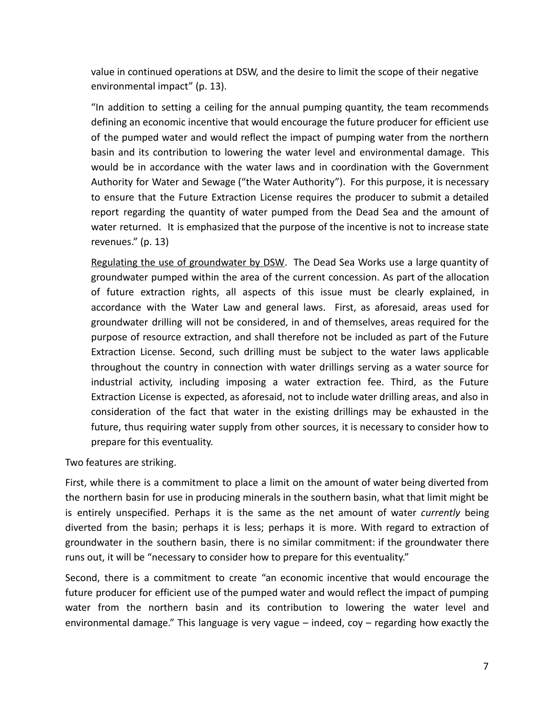value in continued operations at DSW, and the desire to limit the scope of their negative environmental impact" (p. 13).

"In addition to setting a ceiling for the annual pumping quantity, the team recommends defining an economic incentive that would encourage the future producer for efficient use of the pumped water and would reflect the impact of pumping water from the northern basin and its contribution to lowering the water level and environmental damage. This would be in accordance with the water laws and in coordination with the Government Authority for Water and Sewage ("the Water Authority"). For this purpose, it is necessary to ensure that the Future Extraction License requires the producer to submit a detailed report regarding the quantity of water pumped from the Dead Sea and the amount of water returned. It is emphasized that the purpose of the incentive is not to increase state revenues." (p. 13)

Regulating the use of groundwater by DSW. The Dead Sea Works use a large quantity of groundwater pumped within the area of the current concession. As part of the allocation of future extraction rights, all aspects of this issue must be clearly explained, in accordance with the Water Law and general laws. First, as aforesaid, areas used for groundwater drilling will not be considered, in and of themselves, areas required for the purpose of resource extraction, and shall therefore not be included as part of the Future Extraction License. Second, such drilling must be subject to the water laws applicable throughout the country in connection with water drillings serving as a water source for industrial activity, including imposing a water extraction fee. Third, as the Future Extraction License is expected, as aforesaid, not to include water drilling areas, and also in consideration of the fact that water in the existing drillings may be exhausted in the future, thus requiring water supply from other sources, it is necessary to consider how to prepare for this eventuality.

Two features are striking.

First, while there is a commitment to place a limit on the amount of water being diverted from the northern basin for use in producing minerals in the southern basin, what that limit might be is entirely unspecified. Perhaps it is the same as the net amount of water *currently* being diverted from the basin; perhaps it is less; perhaps it is more. With regard to extraction of groundwater in the southern basin, there is no similar commitment: if the groundwater there runs out, it will be "necessary to consider how to prepare for this eventuality."

Second, there is a commitment to create "an economic incentive that would encourage the future producer for efficient use of the pumped water and would reflect the impact of pumping water from the northern basin and its contribution to lowering the water level and environmental damage." This language is very vague – indeed, coy – regarding how exactly the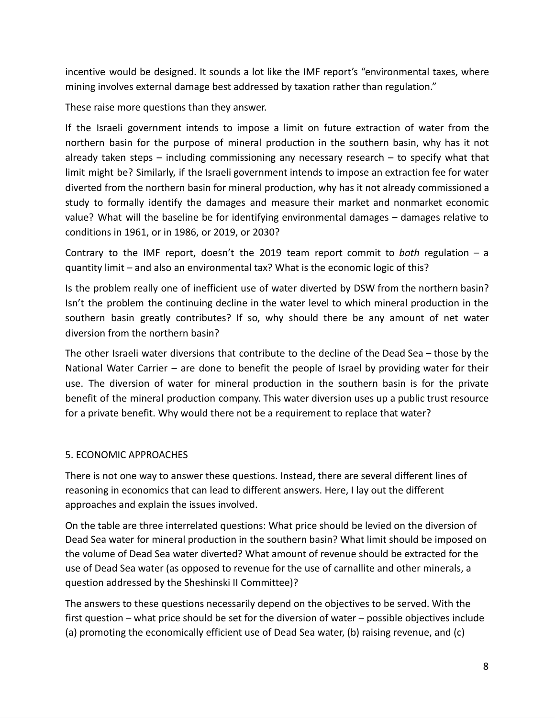incentive would be designed. It sounds a lot like the IMF report's "environmental taxes, where mining involves external damage best addressed by taxation rather than regulation."

These raise more questions than they answer.

If the Israeli government intends to impose a limit on future extraction of water from the northern basin for the purpose of mineral production in the southern basin, why has it not already taken steps  $-$  including commissioning any necessary research  $-$  to specify what that limit might be? Similarly, if the Israeli government intends to impose an extraction fee for water diverted from the northern basin for mineral production, why has it not already commissioned a study to formally identify the damages and measure their market and nonmarket economic value? What will the baseline be for identifying environmental damages – damages relative to conditions in 1961, or in 1986, or 2019, or 2030?

Contrary to the IMF report, doesn't the 2019 team report commit to *both* regulation – a quantity limit – and also an environmental tax? What is the economic logic of this?

Is the problem really one of inefficient use of water diverted by DSW from the northern basin? Isn't the problem the continuing decline in the water level to which mineral production in the southern basin greatly contributes? If so, why should there be any amount of net water diversion from the northern basin?

The other Israeli water diversions that contribute to the decline of the Dead Sea – those by the National Water Carrier – are done to benefit the people of Israel by providing water for their use. The diversion of water for mineral production in the southern basin is for the private benefit of the mineral production company. This water diversion uses up a public trust resource for a private benefit. Why would there not be a requirement to replace that water?

# 5. ECONOMIC APPROACHES

There is not one way to answer these questions. Instead, there are several different lines of reasoning in economics that can lead to different answers. Here, I lay out the different approaches and explain the issues involved.

On the table are three interrelated questions: What price should be levied on the diversion of Dead Sea water for mineral production in the southern basin? What limit should be imposed on the volume of Dead Sea water diverted? What amount of revenue should be extracted for the use of Dead Sea water (as opposed to revenue for the use of carnallite and other minerals, a question addressed by the Sheshinski II Committee)?

The answers to these questions necessarily depend on the objectives to be served. With the first question – what price should be set for the diversion of water – possible objectives include (a) promoting the economically efficient use of Dead Sea water, (b) raising revenue, and (c)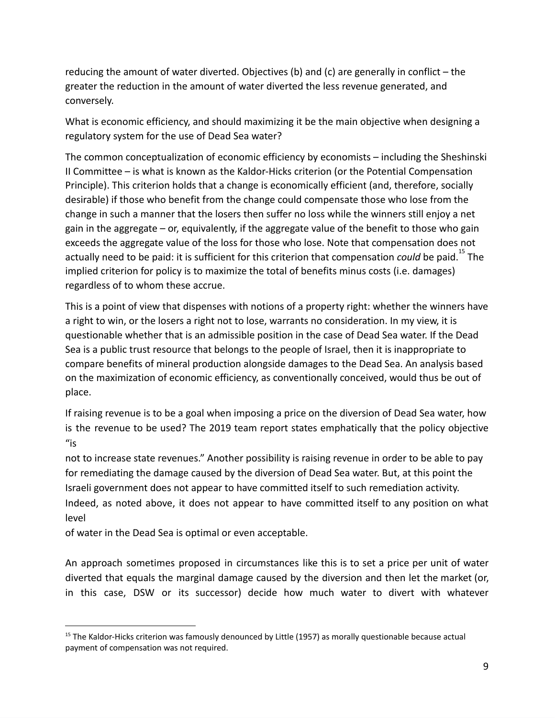reducing the amount of water diverted. Objectives (b) and (c) are generally in conflict – the greater the reduction in the amount of water diverted the less revenue generated, and conversely.

What is economic efficiency, and should maximizing it be the main objective when designing a regulatory system for the use of Dead Sea water?

The common conceptualization of economic efficiency by economists – including the Sheshinski II Committee – is what is known as the Kaldor-Hicks criterion (or the Potential Compensation Principle). This criterion holds that a change is economically efficient (and, therefore, socially desirable) if those who benefit from the change could compensate those who lose from the change in such a manner that the losers then suffer no loss while the winners still enjoy a net gain in the aggregate – or, equivalently, if the aggregate value of the benefit to those who gain exceeds the aggregate value of the loss for those who lose. Note that compensation does not actually need to be paid: it is sufficient for this criterion that compensation *could* be paid.<sup>15</sup> The implied criterion for policy is to maximize the total of benefits minus costs (i.e. damages) regardless of to whom these accrue.

This is a point of view that dispenses with notions of a property right: whether the winners have a right to win, or the losers a right not to lose, warrants no consideration. In my view, it is questionable whether that is an admissible position in the case of Dead Sea water. If the Dead Sea is a public trust resource that belongs to the people of Israel, then it is inappropriate to compare benefits of mineral production alongside damages to the Dead Sea. An analysis based on the maximization of economic efficiency, as conventionally conceived, would thus be out of place.

If raising revenue is to be a goal when imposing a price on the diversion of Dead Sea water, how is the revenue to be used? The 2019 team report states emphatically that the policy objective  $"$ is

not to increase state revenues." Another possibility is raising revenue in order to be able to pay for remediating the damage caused by the diversion of Dead Sea water. But, at this point the Israeli government does not appear to have committed itself to such remediation activity. Indeed, as noted above, it does not appear to have committed itself to any position on what level

of water in the Dead Sea is optimal or even acceptable.

An approach sometimes proposed in circumstances like this is to set a price per unit of water diverted that equals the marginal damage caused by the diversion and then let the market (or, in this case, DSW or its successor) decide how much water to divert with whatever

<sup>&</sup>lt;sup>15</sup> The Kaldor-Hicks criterion was famously denounced by Little (1957) as morally questionable because actual payment of compensation was not required.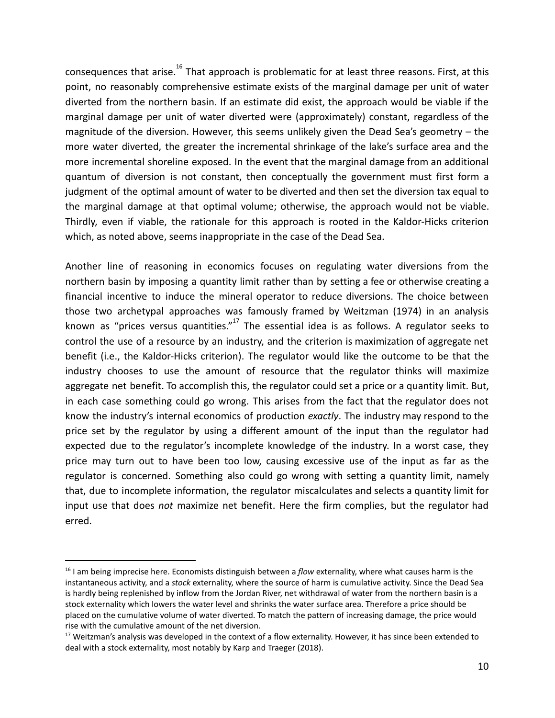consequences that arise.<sup>16</sup> That approach is problematic for at least three reasons. First, at this point, no reasonably comprehensive estimate exists of the marginal damage per unit of water diverted from the northern basin. If an estimate did exist, the approach would be viable if the marginal damage per unit of water diverted were (approximately) constant, regardless of the magnitude of the diversion. However, this seems unlikely given the Dead Sea's geometry – the more water diverted, the greater the incremental shrinkage of the lake's surface area and the more incremental shoreline exposed. In the event that the marginal damage from an additional quantum of diversion is not constant, then conceptually the government must first form a judgment of the optimal amount of water to be diverted and then set the diversion tax equal to the marginal damage at that optimal volume; otherwise, the approach would not be viable. Thirdly, even if viable, the rationale for this approach is rooted in the Kaldor-Hicks criterion which, as noted above, seems inappropriate in the case of the Dead Sea.

Another line of reasoning in economics focuses on regulating water diversions from the northern basin by imposing a quantity limit rather than by setting a fee or otherwise creating a financial incentive to induce the mineral operator to reduce diversions. The choice between those two archetypal approaches was famously framed by Weitzman (1974) in an analysis known as "prices versus quantities." $17$  The essential idea is as follows. A regulator seeks to control the use of a resource by an industry, and the criterion is maximization of aggregate net benefit (i.e., the Kaldor-Hicks criterion). The regulator would like the outcome to be that the industry chooses to use the amount of resource that the regulator thinks will maximize aggregate net benefit. To accomplish this, the regulator could set a price or a quantity limit. But, in each case something could go wrong. This arises from the fact that the regulator does not know the industry's internal economics of production *exactly*. The industry may respond to the price set by the regulator by using a different amount of the input than the regulator had expected due to the regulator's incomplete knowledge of the industry. In a worst case, they price may turn out to have been too low, causing excessive use of the input as far as the regulator is concerned. Something also could go wrong with setting a quantity limit, namely that, due to incomplete information, the regulator miscalculates and selects a quantity limit for input use that does *not* maximize net benefit. Here the firm complies, but the regulator had erred.

<sup>16</sup> I am being imprecise here. Economists distinguish between a *flow* externality, where what causes harm is the instantaneous activity, and a *stock* externality, where the source of harm is cumulative activity. Since the Dead Sea is hardly being replenished by inflow from the Jordan River, net withdrawal of water from the northern basin is a stock externality which lowers the water level and shrinks the water surface area. Therefore a price should be placed on the cumulative volume of water diverted. To match the pattern of increasing damage, the price would rise with the cumulative amount of the net diversion.

<sup>&</sup>lt;sup>17</sup> Weitzman's analysis was developed in the context of a flow externality. However, it has since been extended to deal with a stock externality, most notably by Karp and Traeger (2018).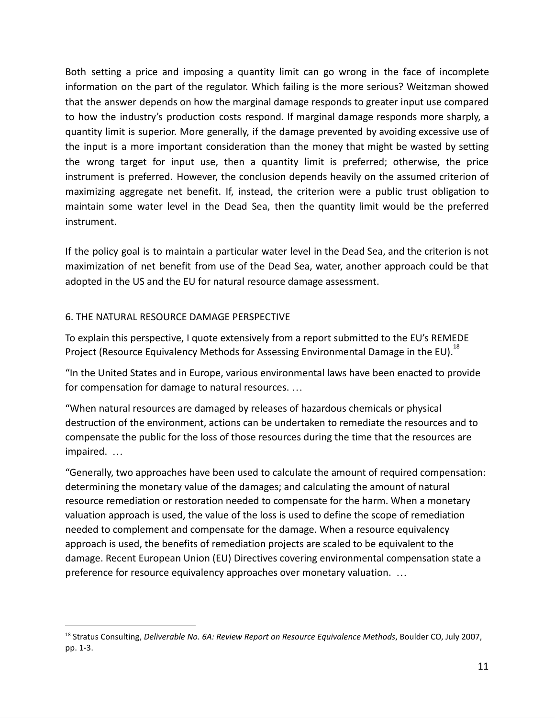Both setting a price and imposing a quantity limit can go wrong in the face of incomplete information on the part of the regulator. Which failing is the more serious? Weitzman showed that the answer depends on how the marginal damage responds to greater input use compared to how the industry's production costs respond. If marginal damage responds more sharply, a quantity limit is superior. More generally, if the damage prevented by avoiding excessive use of the input is a more important consideration than the money that might be wasted by setting the wrong target for input use, then a quantity limit is preferred; otherwise, the price instrument is preferred. However, the conclusion depends heavily on the assumed criterion of maximizing aggregate net benefit. If, instead, the criterion were a public trust obligation to maintain some water level in the Dead Sea, then the quantity limit would be the preferred instrument.

If the policy goal is to maintain a particular water level in the Dead Sea, and the criterion is not maximization of net benefit from use of the Dead Sea, water, another approach could be that adopted in the US and the EU for natural resource damage assessment.

# 6. THE NATURAL RESOURCE DAMAGE PERSPECTIVE

To explain this perspective, I quote extensively from a report submitted to the EU's REMEDE Project (Resource Equivalency Methods for Assessing Environmental Damage in the EU).<sup>18</sup>

"In the United States and in Europe, various environmental laws have been enacted to provide for compensation for damage to natural resources. …

"When natural resources are damaged by releases of hazardous chemicals or physical destruction of the environment, actions can be undertaken to remediate the resources and to compensate the public for the loss of those resources during the time that the resources are impaired. …

"Generally, two approaches have been used to calculate the amount of required compensation: determining the monetary value of the damages; and calculating the amount of natural resource remediation or restoration needed to compensate for the harm. When a monetary valuation approach is used, the value of the loss is used to define the scope of remediation needed to complement and compensate for the damage. When a resource equivalency approach is used, the benefits of remediation projects are scaled to be equivalent to the damage. Recent European Union (EU) Directives covering environmental compensation state a preference for resource equivalency approaches over monetary valuation. …

<sup>18</sup> Stratus Consulting, *Deliverable No. 6A: Review Report on Resource Equivalence Methods*, Boulder CO, July 2007, pp. 1-3.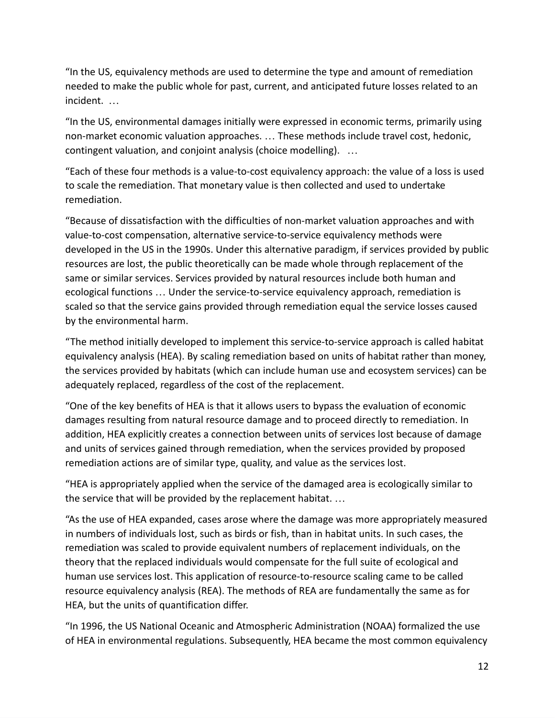"In the US, equivalency methods are used to determine the type and amount of remediation needed to make the public whole for past, current, and anticipated future losses related to an incident. …

"In the US, environmental damages initially were expressed in economic terms, primarily using non-market economic valuation approaches. … These methods include travel cost, hedonic, contingent valuation, and conjoint analysis (choice modelling). …

"Each of these four methods is a value-to-cost equivalency approach: the value of a loss is used to scale the remediation. That monetary value is then collected and used to undertake remediation.

"Because of dissatisfaction with the difficulties of non-market valuation approaches and with value-to-cost compensation, alternative service-to-service equivalency methods were developed in the US in the 1990s. Under this alternative paradigm, if services provided by public resources are lost, the public theoretically can be made whole through replacement of the same or similar services. Services provided by natural resources include both human and ecological functions … Under the service-to-service equivalency approach, remediation is scaled so that the service gains provided through remediation equal the service losses caused by the environmental harm.

"The method initially developed to implement this service-to-service approach is called habitat equivalency analysis (HEA). By scaling remediation based on units of habitat rather than money, the services provided by habitats (which can include human use and ecosystem services) can be adequately replaced, regardless of the cost of the replacement.

"One of the key benefits of HEA is that it allows users to bypass the evaluation of economic damages resulting from natural resource damage and to proceed directly to remediation. In addition, HEA explicitly creates a connection between units of services lost because of damage and units of services gained through remediation, when the services provided by proposed remediation actions are of similar type, quality, and value as the services lost.

"HEA is appropriately applied when the service of the damaged area is ecologically similar to the service that will be provided by the replacement habitat. …

"As the use of HEA expanded, cases arose where the damage was more appropriately measured in numbers of individuals lost, such as birds or fish, than in habitat units. In such cases, the remediation was scaled to provide equivalent numbers of replacement individuals, on the theory that the replaced individuals would compensate for the full suite of ecological and human use services lost. This application of resource-to-resource scaling came to be called resource equivalency analysis (REA). The methods of REA are fundamentally the same as for HEA, but the units of quantification differ.

"In 1996, the US National Oceanic and Atmospheric Administration (NOAA) formalized the use of HEA in environmental regulations. Subsequently, HEA became the most common equivalency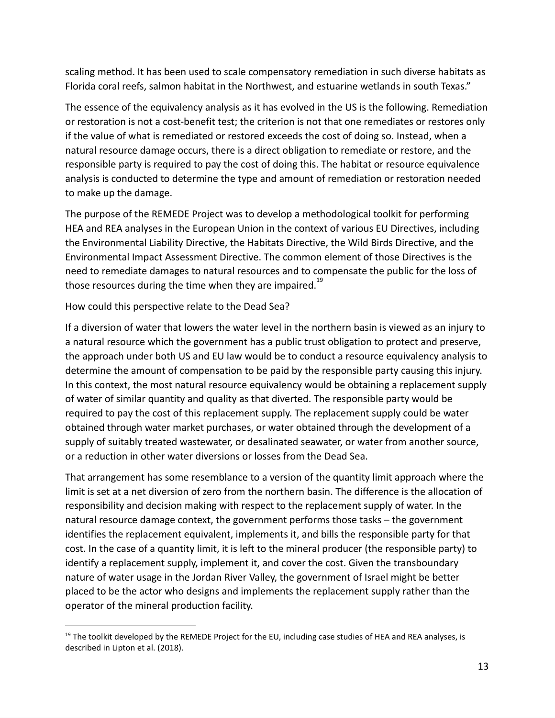scaling method. It has been used to scale compensatory remediation in such diverse habitats as Florida coral reefs, salmon habitat in the Northwest, and estuarine wetlands in south Texas."

The essence of the equivalency analysis as it has evolved in the US is the following. Remediation or restoration is not a cost-benefit test; the criterion is not that one remediates or restores only if the value of what is remediated or restored exceeds the cost of doing so. Instead, when a natural resource damage occurs, there is a direct obligation to remediate or restore, and the responsible party is required to pay the cost of doing this. The habitat or resource equivalence analysis is conducted to determine the type and amount of remediation or restoration needed to make up the damage.

The purpose of the REMEDE Project was to develop a methodological toolkit for performing HEA and REA analyses in the European Union in the context of various EU Directives, including the Environmental Liability Directive, the Habitats Directive, the Wild Birds Directive, and the Environmental Impact Assessment Directive. The common element of those Directives is the need to remediate damages to natural resources and to compensate the public for the loss of those resources during the time when they are impaired.<sup>19</sup>

How could this perspective relate to the Dead Sea?

If a diversion of water that lowers the water level in the northern basin is viewed as an injury to a natural resource which the government has a public trust obligation to protect and preserve, the approach under both US and EU law would be to conduct a resource equivalency analysis to determine the amount of compensation to be paid by the responsible party causing this injury. In this context, the most natural resource equivalency would be obtaining a replacement supply of water of similar quantity and quality as that diverted. The responsible party would be required to pay the cost of this replacement supply. The replacement supply could be water obtained through water market purchases, or water obtained through the development of a supply of suitably treated wastewater, or desalinated seawater, or water from another source, or a reduction in other water diversions or losses from the Dead Sea.

That arrangement has some resemblance to a version of the quantity limit approach where the limit is set at a net diversion of zero from the northern basin. The difference is the allocation of responsibility and decision making with respect to the replacement supply of water. In the natural resource damage context, the government performs those tasks – the government identifies the replacement equivalent, implements it, and bills the responsible party for that cost. In the case of a quantity limit, it is left to the mineral producer (the responsible party) to identify a replacement supply, implement it, and cover the cost. Given the transboundary nature of water usage in the Jordan River Valley, the government of Israel might be better placed to be the actor who designs and implements the replacement supply rather than the operator of the mineral production facility.

 $19$  The toolkit developed by the REMEDE Project for the EU, including case studies of HEA and REA analyses, is described in Lipton et al. (2018).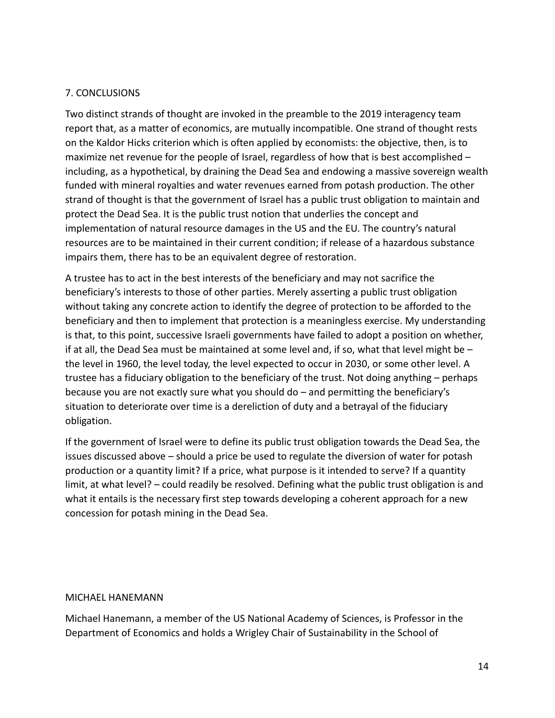#### 7. CONCLUSIONS

Two distinct strands of thought are invoked in the preamble to the 2019 interagency team report that, as a matter of economics, are mutually incompatible. One strand of thought rests on the Kaldor Hicks criterion which is often applied by economists: the objective, then, is to maximize net revenue for the people of Israel, regardless of how that is best accomplished – including, as a hypothetical, by draining the Dead Sea and endowing a massive sovereign wealth funded with mineral royalties and water revenues earned from potash production. The other strand of thought is that the government of Israel has a public trust obligation to maintain and protect the Dead Sea. It is the public trust notion that underlies the concept and implementation of natural resource damages in the US and the EU. The country's natural resources are to be maintained in their current condition; if release of a hazardous substance impairs them, there has to be an equivalent degree of restoration.

A trustee has to act in the best interests of the beneficiary and may not sacrifice the beneficiary's interests to those of other parties. Merely asserting a public trust obligation without taking any concrete action to identify the degree of protection to be afforded to the beneficiary and then to implement that protection is a meaningless exercise. My understanding is that, to this point, successive Israeli governments have failed to adopt a position on whether, if at all, the Dead Sea must be maintained at some level and, if so, what that level might be  $$ the level in 1960, the level today, the level expected to occur in 2030, or some other level. A trustee has a fiduciary obligation to the beneficiary of the trust. Not doing anything – perhaps because you are not exactly sure what you should do – and permitting the beneficiary's situation to deteriorate over time is a dereliction of duty and a betrayal of the fiduciary obligation.

If the government of Israel were to define its public trust obligation towards the Dead Sea, the issues discussed above – should a price be used to regulate the diversion of water for potash production or a quantity limit? If a price, what purpose is it intended to serve? If a quantity limit, at what level? – could readily be resolved. Defining what the public trust obligation is and what it entails is the necessary first step towards developing a coherent approach for a new concession for potash mining in the Dead Sea.

#### MICHAEL HANEMANN

Michael Hanemann, a member of the US National Academy of Sciences, is Professor in the Department of Economics and holds a Wrigley Chair of Sustainability in the School of